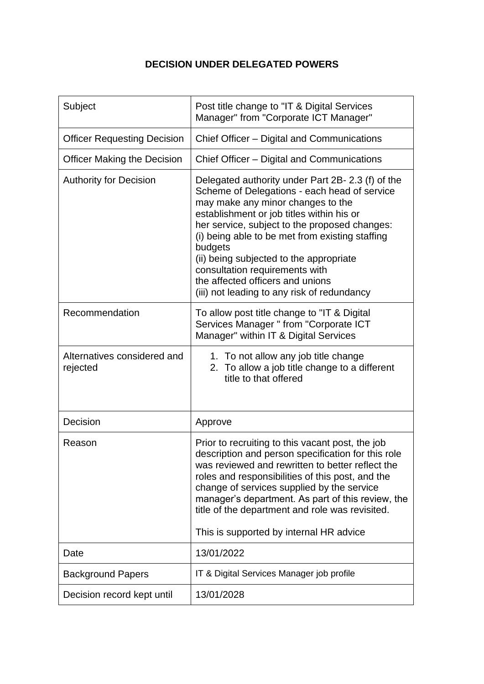## **DECISION UNDER DELEGATED POWERS**

| Subject                                 | Post title change to "IT & Digital Services"<br>Manager" from "Corporate ICT Manager"                                                                                                                                                                                                                                                                                                                                                                              |
|-----------------------------------------|--------------------------------------------------------------------------------------------------------------------------------------------------------------------------------------------------------------------------------------------------------------------------------------------------------------------------------------------------------------------------------------------------------------------------------------------------------------------|
| <b>Officer Requesting Decision</b>      | Chief Officer – Digital and Communications                                                                                                                                                                                                                                                                                                                                                                                                                         |
| <b>Officer Making the Decision</b>      | Chief Officer – Digital and Communications                                                                                                                                                                                                                                                                                                                                                                                                                         |
| <b>Authority for Decision</b>           | Delegated authority under Part 2B- 2.3 (f) of the<br>Scheme of Delegations - each head of service<br>may make any minor changes to the<br>establishment or job titles within his or<br>her service, subject to the proposed changes:<br>(i) being able to be met from existing staffing<br>budgets<br>(ii) being subjected to the appropriate<br>consultation requirements with<br>the affected officers and unions<br>(iii) not leading to any risk of redundancy |
| Recommendation                          | To allow post title change to "IT & Digital<br>Services Manager " from "Corporate ICT<br>Manager" within IT & Digital Services                                                                                                                                                                                                                                                                                                                                     |
| Alternatives considered and<br>rejected | 1. To not allow any job title change<br>2. To allow a job title change to a different<br>title to that offered                                                                                                                                                                                                                                                                                                                                                     |
| Decision                                | Approve                                                                                                                                                                                                                                                                                                                                                                                                                                                            |
| Reason                                  | Prior to recruiting to this vacant post, the job<br>description and person specification for this role<br>was reviewed and rewritten to better reflect the<br>roles and responsibilities of this post, and the<br>change of services supplied by the service<br>manager's department. As part of this review, the<br>title of the department and role was revisited.<br>This is supported by internal HR advice                                                    |
| Date                                    | 13/01/2022                                                                                                                                                                                                                                                                                                                                                                                                                                                         |
| <b>Background Papers</b>                | IT & Digital Services Manager job profile                                                                                                                                                                                                                                                                                                                                                                                                                          |
| Decision record kept until              | 13/01/2028                                                                                                                                                                                                                                                                                                                                                                                                                                                         |